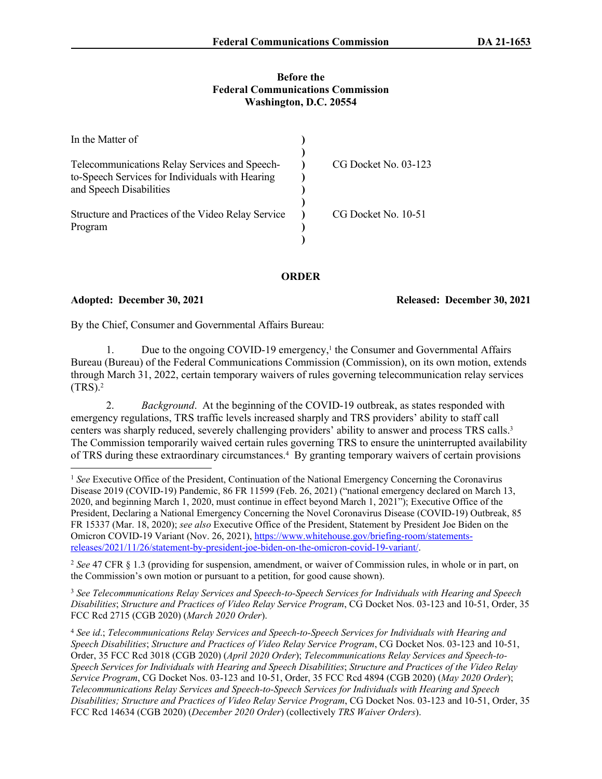## **Before the Federal Communications Commission Washington, D.C. 20554**

| In the Matter of                                                                                 |                      |
|--------------------------------------------------------------------------------------------------|----------------------|
| Telecommunications Relay Services and Speech-<br>to-Speech Services for Individuals with Hearing | CG Docket No. 03-123 |
| and Speech Disabilities                                                                          |                      |
| Structure and Practices of the Video Relay Service<br>Program                                    | CG Docket No. 10-51  |
|                                                                                                  |                      |

**ORDER**

Adopted: December 30, 2021 **Released: December 30, 2021** 

By the Chief, Consumer and Governmental Affairs Bureau:

1. Due to the ongoing COVID-19 emergency,<sup>1</sup> the Consumer and Governmental Affairs Bureau (Bureau) of the Federal Communications Commission (Commission), on its own motion, extends through March 31, 2022, certain temporary waivers of rules governing telecommunication relay services  $(TRS).<sup>2</sup>$ 

2. *Background*. At the beginning of the COVID-19 outbreak, as states responded with emergency regulations, TRS traffic levels increased sharply and TRS providers' ability to staff call centers was sharply reduced, severely challenging providers' ability to answer and process TRS calls.<sup>3</sup> The Commission temporarily waived certain rules governing TRS to ensure the uninterrupted availability of TRS during these extraordinary circumstances.<sup>4</sup> By granting temporary waivers of certain provisions

<sup>2</sup> *See* 47 CFR § 1.3 (providing for suspension, amendment, or waiver of Commission rules, in whole or in part, on the Commission's own motion or pursuant to a petition, for good cause shown).

<sup>3</sup> *See Telecommunications Relay Services and Speech-to-Speech Services for Individuals with Hearing and Speech Disabilities*; *Structure and Practices of Video Relay Service Program*, CG Docket Nos. 03-123 and 10-51, Order, 35 FCC Rcd 2715 (CGB 2020) (*March 2020 Order*).

<sup>4</sup> *See id*.; *Telecommunications Relay Services and Speech-to-Speech Services for Individuals with Hearing and Speech Disabilities*; *Structure and Practices of Video Relay Service Program*, CG Docket Nos. 03-123 and 10-51, Order, 35 FCC Rcd 3018 (CGB 2020) (*April 2020 Order*); *Telecommunications Relay Services and Speech-to-Speech Services for Individuals with Hearing and Speech Disabilities*; *Structure and Practices of the Video Relay Service Program*, CG Docket Nos. 03-123 and 10-51, Order, 35 FCC Rcd 4894 (CGB 2020) (*May 2020 Order*); *Telecommunications Relay Services and Speech-to-Speech Services for Individuals with Hearing and Speech Disabilities; Structure and Practices of Video Relay Service Program*, CG Docket Nos. 03-123 and 10-51, Order, 35 FCC Rcd 14634 (CGB 2020) (*December 2020 Order*) (collectively *TRS Waiver Orders*).

<sup>1</sup> *See* Executive Office of the President, Continuation of the National Emergency Concerning the Coronavirus Disease 2019 (COVID-19) Pandemic, 86 FR 11599 (Feb. 26, 2021) ("national emergency declared on March 13, 2020, and beginning March 1, 2020, must continue in effect beyond March 1, 2021"); Executive Office of the President, Declaring a National Emergency Concerning the Novel Coronavirus Disease (COVID-19) Outbreak, 85 FR 15337 (Mar. 18, 2020); *see also* Executive Office of the President, Statement by President Joe Biden on the Omicron COVID-19 Variant (Nov. 26, 2021), [https://www.whitehouse.gov/briefing-room/statements](https://www.whitehouse.gov/briefing-room/statements-releases/2021/11/26/statement-by-president-joe-biden-on-the-omicron-covid-19-variant/)[releases/2021/11/26/statement-by-president-joe-biden-on-the-omicron-covid-19-variant/.](https://www.whitehouse.gov/briefing-room/statements-releases/2021/11/26/statement-by-president-joe-biden-on-the-omicron-covid-19-variant/)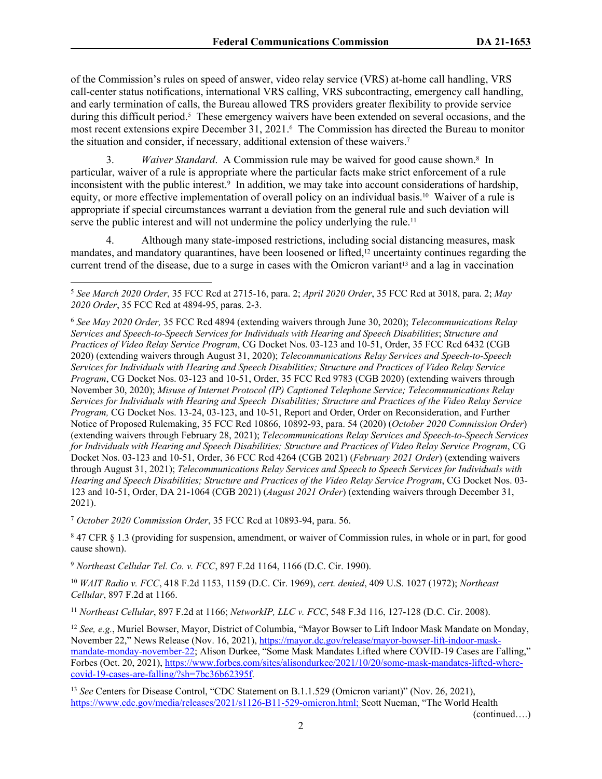of the Commission's rules on speed of answer, video relay service (VRS) at-home call handling, VRS call-center status notifications, international VRS calling, VRS subcontracting, emergency call handling, and early termination of calls, the Bureau allowed TRS providers greater flexibility to provide service during this difficult period.<sup>5</sup> These emergency waivers have been extended on several occasions, and the most recent extensions expire December 31, 2021.<sup>6</sup> The Commission has directed the Bureau to monitor the situation and consider, if necessary, additional extension of these waivers.<sup>7</sup>

3. Waiver Standard. A Commission rule may be waived for good cause shown.<sup>8</sup> In particular, waiver of a rule is appropriate where the particular facts make strict enforcement of a rule inconsistent with the public interest.<sup>9</sup> In addition, we may take into account considerations of hardship, equity, or more effective implementation of overall policy on an individual basis.10 Waiver of a rule is appropriate if special circumstances warrant a deviation from the general rule and such deviation will serve the public interest and will not undermine the policy underlying the rule.<sup>11</sup>

4. Although many state-imposed restrictions, including social distancing measures, mask mandates, and mandatory quarantines, have been loosened or lifted,12 uncertainty continues regarding the current trend of the disease, due to a surge in cases with the Omicron variant<sup>13</sup> and a lag in vaccination

<sup>7</sup> *October 2020 Commission Order*, 35 FCC Rcd at 10893-94, para. 56.

8 47 CFR § 1.3 (providing for suspension, amendment, or waiver of Commission rules, in whole or in part, for good cause shown).

<sup>9</sup> *Northeast Cellular Tel. Co. v. FCC*, 897 F.2d 1164, 1166 (D.C. Cir. 1990).

<sup>10</sup> *WAIT Radio v. FCC*, 418 F.2d 1153, 1159 (D.C. Cir. 1969), *cert. denied*, 409 U.S. 1027 (1972); *Northeast Cellular*, 897 F.2d at 1166.

<sup>11</sup> *Northeast Cellular*, 897 F.2d at 1166; *NetworkIP, LLC v. FCC*, 548 F.3d 116, 127-128 (D.C. Cir. 2008).

<sup>12</sup> *See, e.g.*, Muriel Bowser, Mayor, District of Columbia, "Mayor Bowser to Lift Indoor Mask Mandate on Monday, November 22," News Release (Nov. 16, 2021), [https://mayor.dc.gov/release/mayor-bowser-lift-indoor-mask](https://mayor.dc.gov/release/mayor-bowser-lift-indoor-mask-mandate-monday-november-22)[mandate-monday-november-22](https://mayor.dc.gov/release/mayor-bowser-lift-indoor-mask-mandate-monday-november-22); Alison Durkee, "Some Mask Mandates Lifted where COVID-19 Cases are Falling," Forbes (Oct. 20, 2021), [https://www.forbes.com/sites/alisondurkee/2021/10/20/some-mask-mandates-lifted-where](https://www.forbes.com/sites/alisondurkee/2021/10/20/some-mask-mandates-lifted-where-covid-19-cases-are-falling/?sh=7bc36b62395f)[covid-19-cases-are-falling/?sh=7bc36b62395f](https://www.forbes.com/sites/alisondurkee/2021/10/20/some-mask-mandates-lifted-where-covid-19-cases-are-falling/?sh=7bc36b62395f).

<sup>13</sup> *See* Centers for Disease Control, "CDC Statement on B.1.1.529 (Omicron variant)" (Nov. 26, 2021), <https://www.cdc.gov/media/releases/2021/s1126-B11-529-omicron.html>; Scott Nueman, "The World Health

(continued….)

<sup>5</sup> *See March 2020 Order*, 35 FCC Rcd at 2715-16, para. 2; *April 2020 Order*, 35 FCC Rcd at 3018, para. 2; *May 2020 Order*, 35 FCC Rcd at 4894-95, paras. 2-3.

<sup>6</sup>  *See May 2020 Order,* 35 FCC Rcd 4894 (extending waivers through June 30, 2020); *Telecommunications Relay Services and Speech-to-Speech Services for Individuals with Hearing and Speech Disabilities*; *Structure and Practices of Video Relay Service Program*, CG Docket Nos. 03-123 and 10-51, Order, 35 FCC Rcd 6432 (CGB 2020) (extending waivers through August 31, 2020); *Telecommunications Relay Services and Speech-to-Speech Services for Individuals with Hearing and Speech Disabilities; Structure and Practices of Video Relay Service Program*, CG Docket Nos. 03-123 and 10-51, Order, 35 FCC Rcd 9783 (CGB 2020) (extending waivers through November 30, 2020); *Misuse of Internet Protocol (IP) Captioned Telephone Service; Telecommunications Relay Services for Individuals with Hearing and Speech Disabilities; Structure and Practices of the Video Relay Service Program,* CG Docket Nos. 13-24, 03-123, and 10-51, Report and Order, Order on Reconsideration, and Further Notice of Proposed Rulemaking, 35 FCC Rcd 10866, 10892-93, para. 54 (2020) (*October 2020 Commission Order*) (extending waivers through February 28, 2021); *Telecommunications Relay Services and Speech-to-Speech Services for Individuals with Hearing and Speech Disabilities; Structure and Practices of Video Relay Service Program*, CG Docket Nos. 03-123 and 10-51, Order, 36 FCC Rcd 4264 (CGB 2021) (*February 2021 Order*) (extending waivers through August 31, 2021); *Telecommunications Relay Services and Speech to Speech Services for Individuals with Hearing and Speech Disabilities; Structure and Practices of the Video Relay Service Program*, CG Docket Nos. 03- 123 and 10-51, Order, DA 21-1064 (CGB 2021) (*August 2021 Order*) (extending waivers through December 31, 2021).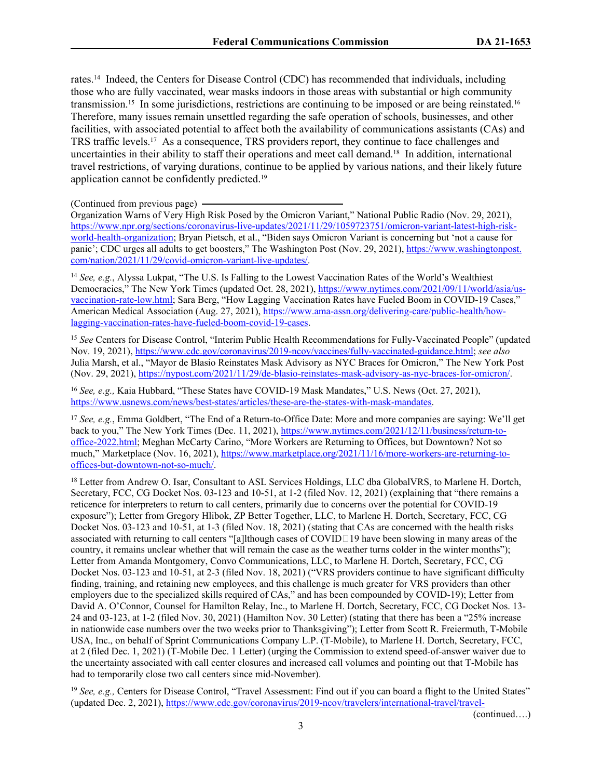rates.14 Indeed, the Centers for Disease Control (CDC) has recommended that individuals, including those who are fully vaccinated, wear masks indoors in those areas with substantial or high community transmission.15 In some jurisdictions, restrictions are continuing to be imposed or are being reinstated.<sup>16</sup> Therefore, many issues remain unsettled regarding the safe operation of schools, businesses, and other facilities, with associated potential to affect both the availability of communications assistants (CAs) and TRS traffic levels.17 As a consequence, TRS providers report, they continue to face challenges and uncertainties in their ability to staff their operations and meet call demand.18 In addition, international travel restrictions, of varying durations, continue to be applied by various nations, and their likely future application cannot be confidently predicted.<sup>19</sup>

(Continued from previous page)

Organization Warns of Very High Risk Posed by the Omicron Variant," National Public Radio (Nov. 29, 2021), [https://www.npr.org/sections/coronavirus-live-updates/2021/11/29/1059723751/omicron-variant-latest-high-risk](https://www.npr.org/sections/coronavirus-live-updates/2021/11/29/1059723751/omicron-variant-latest-high-risk-world-health-organization)[world-health-organization](https://www.npr.org/sections/coronavirus-live-updates/2021/11/29/1059723751/omicron-variant-latest-high-risk-world-health-organization); Bryan Pietsch, et al., "Biden says Omicron Variant is concerning but 'not a cause for panic'; CDC urges all adults to get boosters," The Washington Post (Nov. 29, 2021), [https://www.washingtonpost.](https://www.washingtonpost.com/nation/2021/11/29/covid-omicron-variant-live-updates/) [com/nation/2021/11/29/covid-omicron-variant-live-updates/](https://www.washingtonpost.com/nation/2021/11/29/covid-omicron-variant-live-updates/).

<sup>14</sup> *See, e.g.*, Alyssa Lukpat, "The U.S. Is Falling to the Lowest Vaccination Rates of the World's Wealthiest Democracies," The New York Times (updated Oct. 28, 2021), [https://www.nytimes.com/2021/09/11/world/asia/us](https://www.nytimes.com/2021/09/11/world/asia/us-vaccination-rate-low.html)[vaccination-rate-low.html;](https://www.nytimes.com/2021/09/11/world/asia/us-vaccination-rate-low.html) Sara Berg, "How Lagging Vaccination Rates have Fueled Boom in COVID-19 Cases," American Medical Association (Aug. 27, 2021), [https://www.ama-assn.org/delivering-care/public-health/how](https://www.ama-assn.org/delivering-care/public-health/how-lagging-vaccination-rates-have-fueled-boom-covid-19-cases)[lagging-vaccination-rates-have-fueled-boom-covid-19-cases.](https://www.ama-assn.org/delivering-care/public-health/how-lagging-vaccination-rates-have-fueled-boom-covid-19-cases)

<sup>15</sup> *See* Centers for Disease Control, "Interim Public Health Recommendations for Fully-Vaccinated People" (updated Nov. 19, 2021), [https://www.cdc.gov/coronavirus/2019-ncov/vaccines/fully-vaccinated-guidance.html;](https://www.cdc.gov/coronavirus/2019-ncov/vaccines/fully-vaccinated-guidance.html) *see also*  Julia Marsh, et al., "Mayor de Blasio Reinstates Mask Advisory as NYC Braces for Omicron," The New York Post (Nov. 29, 2021), [https://nypost.com/2021/11/29/de-blasio-reinstates-mask-advisory-as-nyc-braces-for-omicron/.](https://nypost.com/2021/11/29/de-blasio-reinstates-mask-advisory-as-nyc-braces-for-omicron/)

<sup>16</sup> *See, e.g.,* Kaia Hubbard, "These States have COVID-19 Mask Mandates," U.S. News (Oct. 27, 2021), <https://www.usnews.com/news/best-states/articles/these-are-the-states-with-mask-mandates>.

<sup>17</sup> *See, e.g.*, Emma Goldbert, "The End of a Return-to-Office Date: More and more companies are saying: We'll get back to you," The New York Times (Dec. 11, 2021), [https://www.nytimes.com/2021/12/11/business/return-to](https://www.nytimes.com/2021/12/11/business/return-to-office-2022.html)[office-2022.html](https://www.nytimes.com/2021/12/11/business/return-to-office-2022.html); Meghan McCarty Carino, "More Workers are Returning to Offices, but Downtown? Not so much," Marketplace (Nov. 16, 2021), [https://www.marketplace.org/2021/11/16/more-workers-are-returning-to](https://www.marketplace.org/2021/11/16/more-workers-are-returning-to-offices-but-downtown-not-so-much/)[offices-but-downtown-not-so-much/.](https://www.marketplace.org/2021/11/16/more-workers-are-returning-to-offices-but-downtown-not-so-much/)

<sup>18</sup> Letter from Andrew O. Isar, Consultant to ASL Services Holdings, LLC dba GlobalVRS, to Marlene H. Dortch, Secretary, FCC, CG Docket Nos. 03-123 and 10-51, at 1-2 (filed Nov. 12, 2021) (explaining that "there remains a reticence for interpreters to return to call centers, primarily due to concerns over the potential for COVID-19 exposure"); Letter from Gregory Hlibok, ZP Better Together, LLC, to Marlene H. Dortch, Secretary, FCC, CG Docket Nos. 03-123 and 10-51, at 1-3 (filed Nov. 18, 2021) (stating that CAs are concerned with the health risks associated with returning to call centers "[a]lthough cases of COVID $\Box$ 19 have been slowing in many areas of the country, it remains unclear whether that will remain the case as the weather turns colder in the winter months"); Letter from Amanda Montgomery, Convo Communications, LLC, to Marlene H. Dortch, Secretary, FCC, CG Docket Nos. 03-123 and 10-51, at 2-3 (filed Nov. 18, 2021) ("VRS providers continue to have significant difficulty finding, training, and retaining new employees, and this challenge is much greater for VRS providers than other employers due to the specialized skills required of CAs," and has been compounded by COVID-19); Letter from David A. O'Connor, Counsel for Hamilton Relay, Inc., to Marlene H. Dortch, Secretary, FCC, CG Docket Nos. 13- 24 and 03-123, at 1-2 (filed Nov. 30, 2021) (Hamilton Nov. 30 Letter) (stating that there has been a "25% increase in nationwide case numbers over the two weeks prior to Thanksgiving"); Letter from Scott R. Freiermuth, T-Mobile USA, Inc., on behalf of Sprint Communications Company L.P. (T-Mobile), to Marlene H. Dortch, Secretary, FCC, at 2 (filed Dec. 1, 2021) (T-Mobile Dec. 1 Letter) (urging the Commission to extend speed-of-answer waiver due to the uncertainty associated with call center closures and increased call volumes and pointing out that T-Mobile has had to temporarily close two call centers since mid-November).

<sup>19</sup> *See, e.g., Centers for Disease Control, "Travel Assessment: Find out if you can board a flight to the United States"* (updated Dec. 2, 2021), [https://www.cdc.gov/coronavirus/2019-ncov/travelers/international-travel/travel-](https://www.cdc.gov/coronavirus/2019-ncov/travelers/international-travel/travel-assessment/index.html)

(continued….)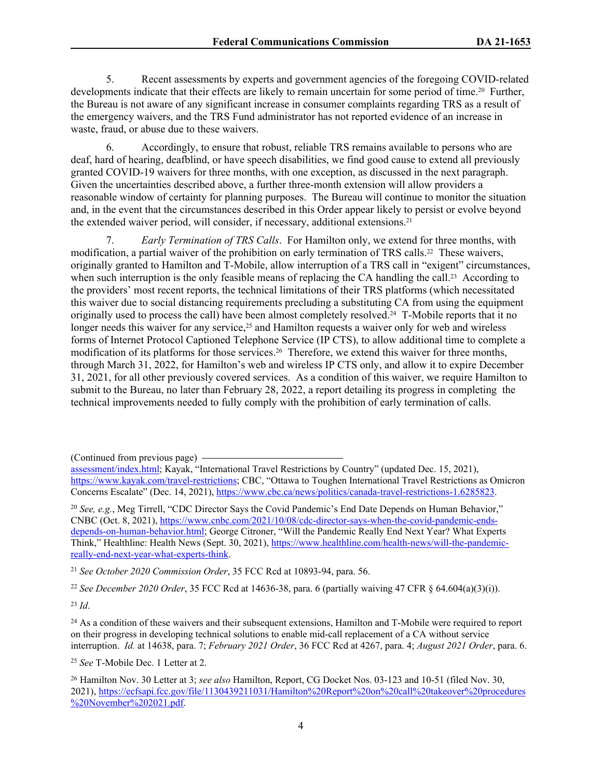5. Recent assessments by experts and government agencies of the foregoing COVID-related developments indicate that their effects are likely to remain uncertain for some period of time.<sup>20</sup> Further, the Bureau is not aware of any significant increase in consumer complaints regarding TRS as a result of the emergency waivers, and the TRS Fund administrator has not reported evidence of an increase in waste, fraud, or abuse due to these waivers.

6. Accordingly, to ensure that robust, reliable TRS remains available to persons who are deaf, hard of hearing, deafblind, or have speech disabilities, we find good cause to extend all previously granted COVID-19 waivers for three months, with one exception, as discussed in the next paragraph. Given the uncertainties described above, a further three-month extension will allow providers a reasonable window of certainty for planning purposes. The Bureau will continue to monitor the situation and, in the event that the circumstances described in this Order appear likely to persist or evolve beyond the extended waiver period, will consider, if necessary, additional extensions.<sup>21</sup>

7. *Early Termination of TRS Calls*. For Hamilton only, we extend for three months, with modification, a partial waiver of the prohibition on early termination of TRS calls.<sup>22</sup> These waivers, originally granted to Hamilton and T-Mobile, allow interruption of a TRS call in "exigent" circumstances, when such interruption is the only feasible means of replacing the CA handling the call.<sup>23</sup> According to the providers' most recent reports, the technical limitations of their TRS platforms (which necessitated this waiver due to social distancing requirements precluding a substituting CA from using the equipment originally used to process the call) have been almost completely resolved.24 T-Mobile reports that it no longer needs this waiver for any service,<sup>25</sup> and Hamilton requests a waiver only for web and wireless forms of Internet Protocol Captioned Telephone Service (IP CTS), to allow additional time to complete a modification of its platforms for those services.<sup>26</sup> Therefore, we extend this waiver for three months, through March 31, 2022, for Hamilton's web and wireless IP CTS only, and allow it to expire December 31, 2021, for all other previously covered services. As a condition of this waiver, we require Hamilton to submit to the Bureau, no later than February 28, 2022, a report detailing its progress in completing the technical improvements needed to fully comply with the prohibition of early termination of calls.

(Continued from previous page)

<sup>21</sup> *See October 2020 Commission Order*, 35 FCC Rcd at 10893-94, para. 56.

<sup>22</sup> *See December 2020 Order*, 35 FCC Rcd at 14636-38, para. 6 (partially waiving 47 CFR § 64.604(a)(3)(i)).

<sup>23</sup> *Id*.

<sup>25</sup> *See* T-Mobile Dec. 1 Letter at 2.

[assessment/index.html](https://www.cdc.gov/coronavirus/2019-ncov/travelers/international-travel/travel-assessment/index.html); Kayak, "International Travel Restrictions by Country" (updated Dec. 15, 2021), [https://www.kayak.com/travel-restrictions;](https://www.kayak.com/travel-restrictions) CBC, "Ottawa to Toughen International Travel Restrictions as Omicron Concerns Escalate" (Dec. 14, 2021),<https://www.cbc.ca/news/politics/canada-travel-restrictions-1.6285823>.

<sup>20</sup> *See, e.g.*, Meg Tirrell, "CDC Director Says the Covid Pandemic's End Date Depends on Human Behavior," CNBC (Oct. 8, 2021), [https://www.cnbc.com/2021/10/08/cdc-director-says-when-the-covid-pandemic-ends](https://www.cnbc.com/2021/10/08/cdc-director-says-when-the-covid-pandemic-ends-depends-on-human-behavior.html)[depends-on-human-behavior.html;](https://www.cnbc.com/2021/10/08/cdc-director-says-when-the-covid-pandemic-ends-depends-on-human-behavior.html) George Citroner, "Will the Pandemic Really End Next Year? What Experts Think," Healthline: Health News (Sept. 30, 2021), [https://www.healthline.com/health-news/will-the-pandemic](https://www.healthline.com/health-news/will-the-pandemic-really-end-next-year-what-experts-think)[really-end-next-year-what-experts-think](https://www.healthline.com/health-news/will-the-pandemic-really-end-next-year-what-experts-think).

<sup>&</sup>lt;sup>24</sup> As a condition of these waivers and their subsequent extensions, Hamilton and T-Mobile were required to report on their progress in developing technical solutions to enable mid-call replacement of a CA without service interruption. *Id.* at 14638, para. 7; *February 2021 Order*, 36 FCC Rcd at 4267, para. 4; *August 2021 Order*, para. 6.

<sup>26</sup> Hamilton Nov. 30 Letter at 3; *see also* Hamilton, Report, CG Docket Nos. 03-123 and 10-51 (filed Nov. 30, 2021), [https://ecfsapi.fcc.gov/file/1130439211031/Hamilton%20Report%20on%20call%20takeover%20procedures](https://ecfsapi.fcc.gov/file/1130439211031/Hamilton%20Report%20on%20call%20takeover%20procedures%20November%202021.pdf) [%20November%202021.pdf.](https://ecfsapi.fcc.gov/file/1130439211031/Hamilton%20Report%20on%20call%20takeover%20procedures%20November%202021.pdf)